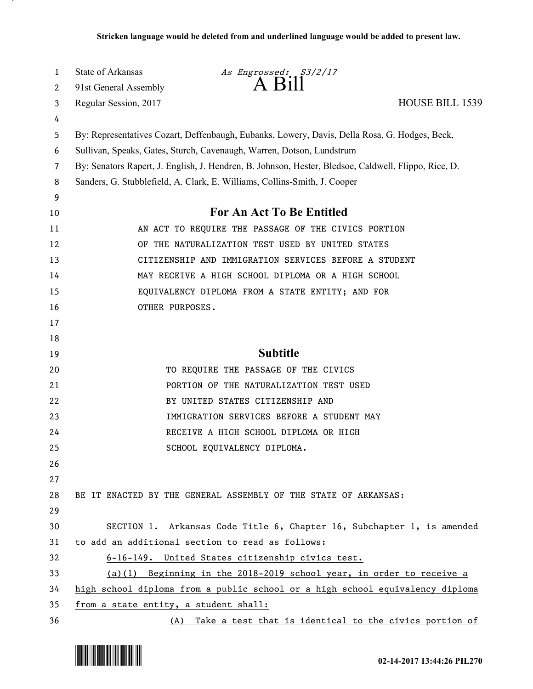| 1  | <b>State of Arkansas</b>                                                                             | As Engrossed: S3/2/17                                                                         |                        |
|----|------------------------------------------------------------------------------------------------------|-----------------------------------------------------------------------------------------------|------------------------|
| 2  | 91st General Assembly                                                                                | $A$ $B$ <sup>11</sup>                                                                         |                        |
| 3  | Regular Session, 2017                                                                                |                                                                                               | <b>HOUSE BILL 1539</b> |
| 4  |                                                                                                      |                                                                                               |                        |
| 5  |                                                                                                      | By: Representatives Cozart, Deffenbaugh, Eubanks, Lowery, Davis, Della Rosa, G. Hodges, Beck, |                        |
| 6  | Sullivan, Speaks, Gates, Sturch, Cavenaugh, Warren, Dotson, Lundstrum                                |                                                                                               |                        |
| 7  | By: Senators Rapert, J. English, J. Hendren, B. Johnson, Hester, Bledsoe, Caldwell, Flippo, Rice, D. |                                                                                               |                        |
| 8  | Sanders, G. Stubblefield, A. Clark, E. Williams, Collins-Smith, J. Cooper                            |                                                                                               |                        |
| 9  |                                                                                                      |                                                                                               |                        |
| 10 | <b>For An Act To Be Entitled</b>                                                                     |                                                                                               |                        |
| 11 | AN ACT TO REQUIRE THE PASSAGE OF THE CIVICS PORTION                                                  |                                                                                               |                        |
| 12 | OF THE NATURALIZATION TEST USED BY UNITED STATES                                                     |                                                                                               |                        |
| 13 | CITIZENSHIP AND IMMIGRATION SERVICES BEFORE A STUDENT                                                |                                                                                               |                        |
| 14 | MAY RECEIVE A HIGH SCHOOL DIPLOMA OR A HIGH SCHOOL                                                   |                                                                                               |                        |
| 15 | EQUIVALENCY DIPLOMA FROM A STATE ENTITY; AND FOR                                                     |                                                                                               |                        |
| 16 | OTHER PURPOSES.                                                                                      |                                                                                               |                        |
| 17 |                                                                                                      |                                                                                               |                        |
| 18 |                                                                                                      |                                                                                               |                        |
| 19 |                                                                                                      | <b>Subtitle</b>                                                                               |                        |
| 20 |                                                                                                      | TO REQUIRE THE PASSAGE OF THE CIVICS                                                          |                        |
| 21 |                                                                                                      | PORTION OF THE NATURALIZATION TEST USED                                                       |                        |
| 22 |                                                                                                      | BY UNITED STATES CITIZENSHIP AND                                                              |                        |
| 23 |                                                                                                      | IMMIGRATION SERVICES BEFORE A STUDENT MAY                                                     |                        |
| 24 |                                                                                                      | RECEIVE A HIGH SCHOOL DIPLOMA OR HIGH                                                         |                        |
| 25 |                                                                                                      | SCHOOL EQUIVALENCY DIPLOMA.                                                                   |                        |
| 26 |                                                                                                      |                                                                                               |                        |
| 27 |                                                                                                      |                                                                                               |                        |
| 28 |                                                                                                      | BE IT ENACTED BY THE GENERAL ASSEMBLY OF THE STATE OF ARKANSAS:                               |                        |
| 29 |                                                                                                      |                                                                                               |                        |
| 30 |                                                                                                      | SECTION 1. Arkansas Code Title 6, Chapter 16, Subchapter 1, is amended                        |                        |
| 31 | to add an additional section to read as follows:                                                     |                                                                                               |                        |
| 32 | 6-16-149. United States citizenship civics test.                                                     |                                                                                               |                        |
| 33 | (a)(1) Beginning in the 2018-2019 school year, in order to receive a                                 |                                                                                               |                        |
| 34 | high school diploma from a public school or a high school equivalency diploma                        |                                                                                               |                        |
| 35 | from a state entity, a student shall:                                                                |                                                                                               |                        |
| 36 |                                                                                                      | (A) Take a test that is identical to the civics portion of                                    |                        |



.